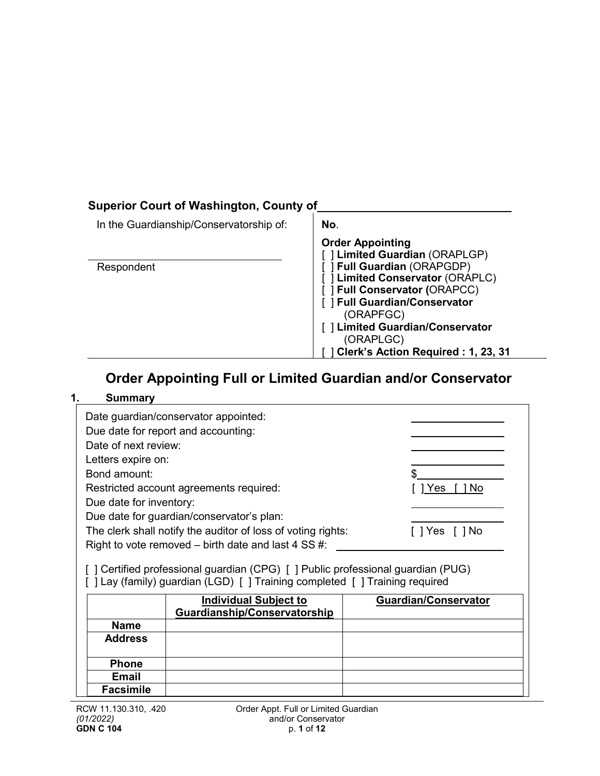# **Superior Court of Washington, County of**

| In the Guardianship/Conservatorship of: | No.                                                                                                            |
|-----------------------------------------|----------------------------------------------------------------------------------------------------------------|
| Respondent                              | <b>Order Appointing</b><br>[] Limited Guardian (ORAPLGP)<br>[ ] Full Guardian (ORAPGDP)                        |
|                                         | [] Limited Conservator (ORAPLC)<br>[ ] Full Conservator (ORAPCC)<br>[ ] Full Guardian/Conservator<br>(ORAPFGC) |
|                                         | [] Limited Guardian/Conservator<br>(ORAPLGC)<br>Clerk's Action Required: 1, 23, 31                             |

# **Order Appointing Full or Limited Guardian and/or Conservator**

### **1. Summary**

| Date of next review:<br>Letters expire on:<br>Bond amount:<br>Due date for inventory: | Date guardian/conservator appointed:<br>Due date for report and accounting:<br>Restricted account agreements required:<br>Due date for guardian/conservator's plan:<br>The clerk shall notify the auditor of loss of voting rights:<br>Right to vote removed $-$ birth date and last 4 SS #:<br>[] Certified professional guardian (CPG) [] Public professional guardian (PUG)<br>[] Lay (family) guardian (LGD) [] Training completed [] Training required | <b>Yes</b><br><b>No</b>     |
|---------------------------------------------------------------------------------------|-------------------------------------------------------------------------------------------------------------------------------------------------------------------------------------------------------------------------------------------------------------------------------------------------------------------------------------------------------------------------------------------------------------------------------------------------------------|-----------------------------|
|                                                                                       | <b>Individual Subject to</b><br>Guardianship/Conservatorship                                                                                                                                                                                                                                                                                                                                                                                                | <b>Guardian/Conservator</b> |
| <b>Name</b>                                                                           |                                                                                                                                                                                                                                                                                                                                                                                                                                                             |                             |
| <b>Address</b>                                                                        |                                                                                                                                                                                                                                                                                                                                                                                                                                                             |                             |
|                                                                                       |                                                                                                                                                                                                                                                                                                                                                                                                                                                             |                             |
| <b>Phone</b>                                                                          |                                                                                                                                                                                                                                                                                                                                                                                                                                                             |                             |
| Email                                                                                 |                                                                                                                                                                                                                                                                                                                                                                                                                                                             |                             |
| <b>Facsimile</b>                                                                      |                                                                                                                                                                                                                                                                                                                                                                                                                                                             |                             |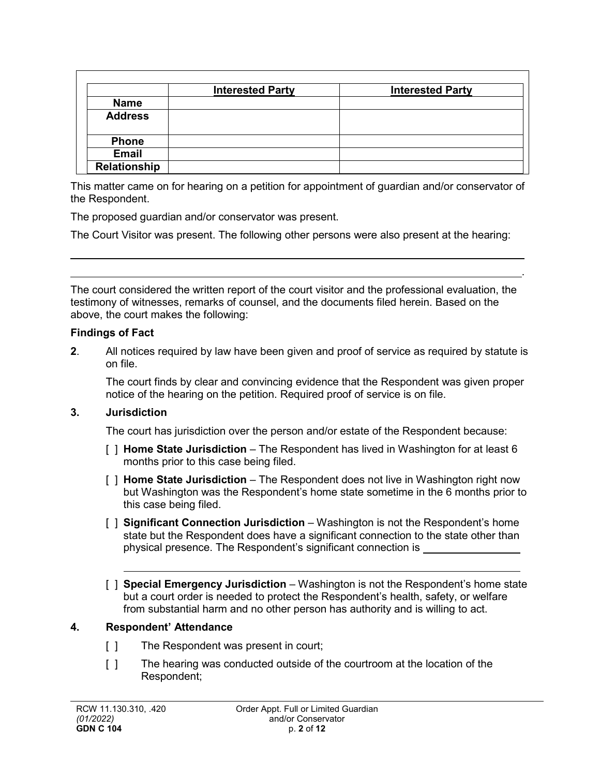|                | <b>Interested Party</b> | <b>Interested Party</b> |
|----------------|-------------------------|-------------------------|
| <b>Name</b>    |                         |                         |
| <b>Address</b> |                         |                         |
| <b>Phone</b>   |                         |                         |
| <b>Email</b>   |                         |                         |
| Relationship   |                         |                         |

This matter came on for hearing on a petition for appointment of guardian and/or conservator of the Respondent.

The proposed guardian and/or conservator was present.

The Court Visitor was present. The following other persons were also present at the hearing:

The court considered the written report of the court visitor and the professional evaluation, the testimony of witnesses, remarks of counsel, and the documents filed herein. Based on the above, the court makes the following:

#### **Findings of Fact**

**2**. All notices required by law have been given and proof of service as required by statute is on file.

The court finds by clear and convincing evidence that the Respondent was given proper notice of the hearing on the petition. Required proof of service is on file.

.

### **3. Jurisdiction**

The court has jurisdiction over the person and/or estate of the Respondent because:

- [ ] **Home State Jurisdiction**  The Respondent has lived in Washington for at least 6 months prior to this case being filed.
- [ ] **Home State Jurisdiction** The Respondent does not live in Washington right now but Washington was the Respondent's home state sometime in the 6 months prior to this case being filed.
- [ ] **Significant Connection Jurisdiction** Washington is not the Respondent's home state but the Respondent does have a significant connection to the state other than physical presence. The Respondent's significant connection is
- [ ] **Special Emergency Jurisdiction**  Washington is not the Respondent's home state but a court order is needed to protect the Respondent's health, safety, or welfare from substantial harm and no other person has authority and is willing to act.

### **4. Respondent' Attendance**

- [ ] The Respondent was present in court;
- [ ] The hearing was conducted outside of the courtroom at the location of the Respondent;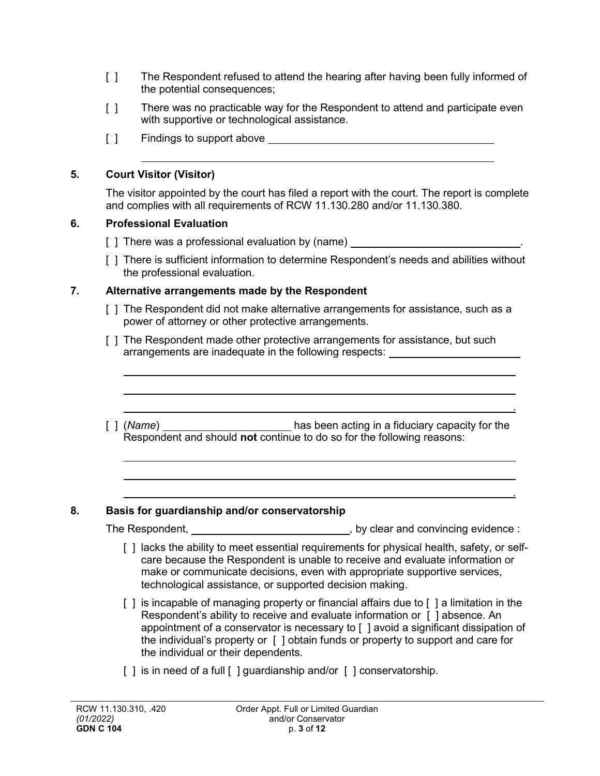- [ ] The Respondent refused to attend the hearing after having been fully informed of the potential consequences;
- [ ] There was no practicable way for the Respondent to attend and participate even with supportive or technological assistance.
- [ ] Findings to support above **Fig. 2** and  $\overline{a}$  and  $\overline{b}$  and  $\overline{c}$  and  $\overline{d}$  and  $\overline{b}$  and  $\overline{a}$  and  $\overline{b}$  and  $\overline{a}$  and  $\overline{a}$  and  $\overline{a}$  and  $\overline{a}$  and  $\overline{a}$  and  $\overline{a}$  and  $\overline{a}$  a

### **5. Court Visitor (Visitor)**

The visitor appointed by the court has filed a report with the court. The report is complete and complies with all requirements of RCW 11.130.280 and/or 11.130.380.

### **6. Professional Evaluation**

- [ ] There was a professional evaluation by (name)
- [ ] There is sufficient information to determine Respondent's needs and abilities without the professional evaluation.

### **7. Alternative arrangements made by the Respondent**

- [ ] The Respondent did not make alternative arrangements for assistance, such as a power of attorney or other protective arrangements.
- [ ] The Respondent made other protective arrangements for assistance, but such arrangements are inadequate in the following respects:
- [ ] (*Name*) \_\_\_\_\_\_\_\_\_\_\_\_\_\_\_\_\_\_\_\_\_\_\_\_\_\_ has been acting in a fiduciary capacity for the Respondent and should **not** continue to do so for the following reasons:

### **8. Basis for guardianship and/or conservatorship**

The Respondent, The Respondent,  $by$  clear and convincing evidence :

.

.

- [ ] lacks the ability to meet essential requirements for physical health, safety, or selfcare because the Respondent is unable to receive and evaluate information or make or communicate decisions, even with appropriate supportive services, technological assistance, or supported decision making.
- [] is incapable of managing property or financial affairs due to [] a limitation in the Respondent's ability to receive and evaluate information or [ ] absence. An appointment of a conservator is necessary to [ ] avoid a significant dissipation of the individual's property or [ ] obtain funds or property to support and care for the individual or their dependents.
- [ ] is in need of a full [ ] guardianship and/or [ ] conservatorship.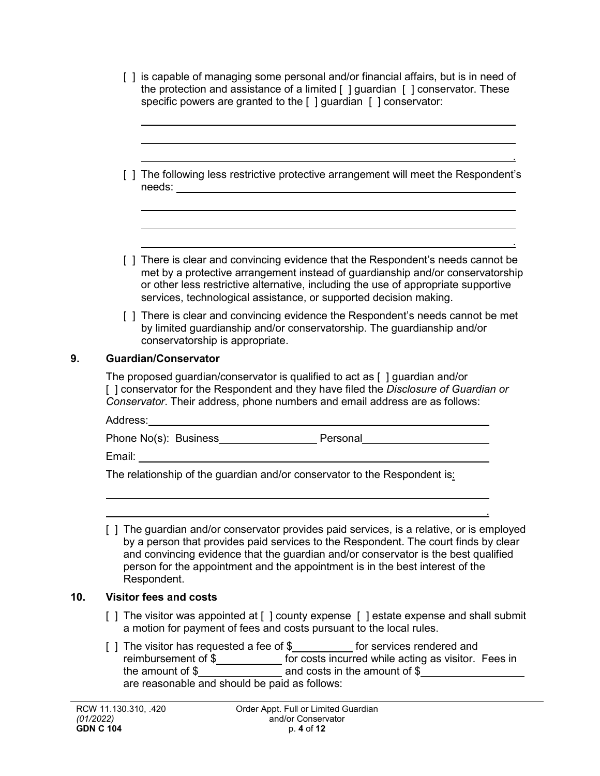| [ ] is capable of managing some personal and/or financial affairs, but is in need of                               |
|--------------------------------------------------------------------------------------------------------------------|
| the protection and assistance of a limited $\lceil \cdot \rceil$ guardian $\lceil \cdot \rceil$ conservator. These |
| specific powers are granted to the [ ] guardian [ ] conservator:                                                   |

|        | [ ] The following less restrictive protective arrangement will meet the Respondent's |
|--------|--------------------------------------------------------------------------------------|
| needs: |                                                                                      |

.

.

.

- [ ] There is clear and convincing evidence that the Respondent's needs cannot be met by a protective arrangement instead of guardianship and/or conservatorship or other less restrictive alternative, including the use of appropriate supportive services, technological assistance, or supported decision making.
- [ ] There is clear and convincing evidence the Respondent's needs cannot be met by limited guardianship and/or conservatorship. The guardianship and/or conservatorship is appropriate.

### **9. Guardian/Conservator**

The proposed guardian/conservator is qualified to act as [ ] guardian and/or [ ] conservator for the Respondent and they have filed the *Disclosure of Guardian or Conservator*. Their address, phone numbers and email address are as follows:

| Address:              |          |  |
|-----------------------|----------|--|
| Phone No(s): Business | Personal |  |

Email:

The relationship of the guardian and/or conservator to the Respondent is:

[ ] The guardian and/or conservator provides paid services, is a relative, or is employed by a person that provides paid services to the Respondent. The court finds by clear and convincing evidence that the guardian and/or conservator is the best qualified person for the appointment and the appointment is in the best interest of the Respondent.

### **10. Visitor fees and costs**

- [ ] The visitor was appointed at [ ] county expense [ ] estate expense and shall submit a motion for payment of fees and costs pursuant to the local rules.
- [ ] The visitor has requested a fee of \$\_\_\_\_\_\_\_\_\_\_ for services rendered and reimbursement of  $\frac{\mathsf{S}}{2}$  for costs incurred while acting as visitor. Fees in the amount of  $\$\_\_\_\_\_\_$  and costs in the amount of  $\$$ are reasonable and should be paid as follows: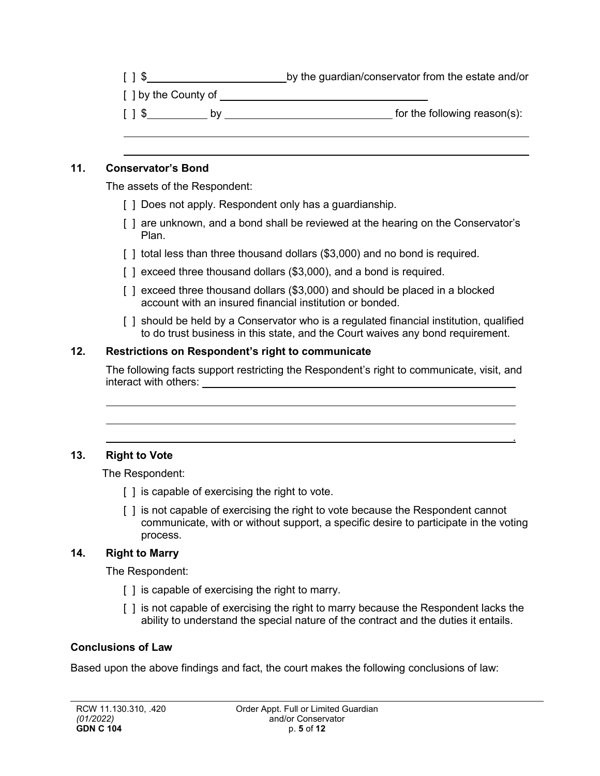| [ ] \$ |  | by the guardian/conservator from the estate and/or |
|--------|--|----------------------------------------------------|
|--------|--|----------------------------------------------------|

| [ ] by the County of |  |
|----------------------|--|
|                      |  |

| $\left[\begin{array}{c} 1 \\ 3 \end{array}\right]$ | for the following reason(s): |
|----------------------------------------------------|------------------------------|
|----------------------------------------------------|------------------------------|

### **11. Conservator's Bond**

The assets of the Respondent:

- [ ] Does not apply. Respondent only has a guardianship.
- [ ] are unknown, and a bond shall be reviewed at the hearing on the Conservator's Plan.
- [] total less than three thousand dollars (\$3,000) and no bond is required.
- [] exceed three thousand dollars (\$3,000), and a bond is required.
- [ ] exceed three thousand dollars (\$3,000) and should be placed in a blocked account with an insured financial institution or bonded.
- [ ] should be held by a Conservator who is a regulated financial institution, qualified to do trust business in this state, and the Court waives any bond requirement.

### **12. Restrictions on Respondent's right to communicate**

The following facts support restricting the Respondent's right to communicate, visit, and interact with others:

### **13. Right to Vote**

The Respondent:

- [ ] is capable of exercising the right to vote.
- [ ] is not capable of exercising the right to vote because the Respondent cannot communicate, with or without support, a specific desire to participate in the voting process.

.

### **14. Right to Marry**

The Respondent:

- [ ] is capable of exercising the right to marry.
- [ ] is not capable of exercising the right to marry because the Respondent lacks the ability to understand the special nature of the contract and the duties it entails.

### **Conclusions of Law**

Based upon the above findings and fact, the court makes the following conclusions of law: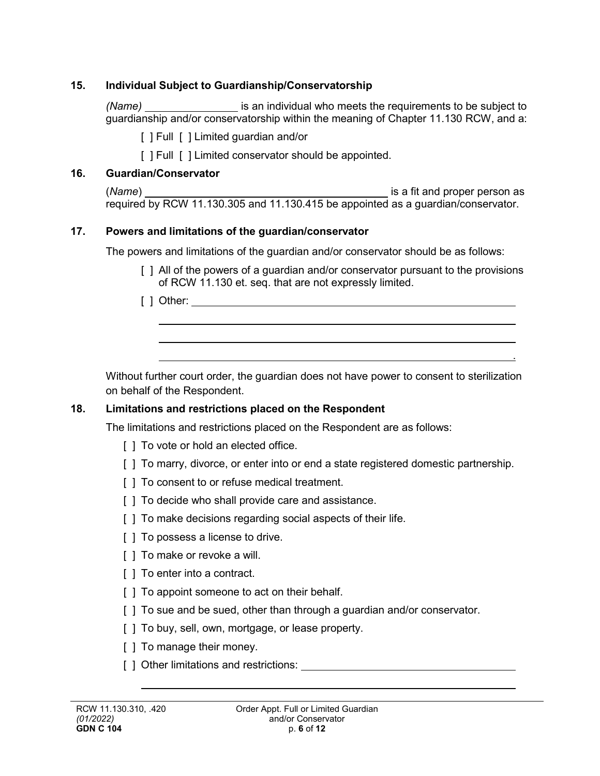### **15. Individual Subject to Guardianship/Conservatorship**

*(Name)* **is an individual who meets the requirements to be subject to** guardianship and/or conservatorship within the meaning of Chapter 11.130 RCW, and a:

[ ] Full [ ] Limited guardian and/or

[ ] Full [ ] Limited conservator should be appointed.

# **16. Guardian/Conservator**

| (Name)                                                                            | is a fit and proper person as |
|-----------------------------------------------------------------------------------|-------------------------------|
| required by RCW 11.130.305 and 11.130.415 be appointed as a guardian/conservator. |                               |

# **17. Powers and limitations of the guardian/conservator**

The powers and limitations of the guardian and/or conservator should be as follows:

[] All of the powers of a guardian and/or conservator pursuant to the provisions of RCW 11.130 et. seq. that are not expressly limited.

.

[ ] Other:

Without further court order, the guardian does not have power to consent to sterilization on behalf of the Respondent.

# **18. Limitations and restrictions placed on the Respondent**

The limitations and restrictions placed on the Respondent are as follows:

- [ ] To vote or hold an elected office.
- [ ] To marry, divorce, or enter into or end a state registered domestic partnership.
- [ ] To consent to or refuse medical treatment.
- [ ] To decide who shall provide care and assistance.
- [ ] To make decisions regarding social aspects of their life.
- [ ] To possess a license to drive.
- [ ] To make or revoke a will.
- [ ] To enter into a contract.
- [ ] To appoint someone to act on their behalf.
- [] To sue and be sued, other than through a quardian and/or conservator.
- [ ] To buy, sell, own, mortgage, or lease property.
- [ ] To manage their money.
- [ ] Other limitations and restrictions: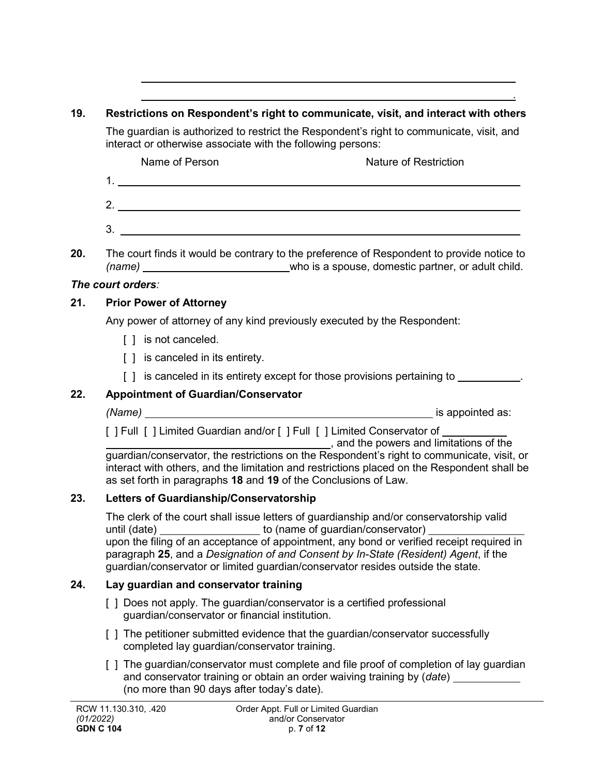### **19. Restrictions on Respondent's right to communicate, visit, and interact with others**

The guardian is authorized to restrict the Respondent's right to communicate, visit, and interact or otherwise associate with the following persons:

Name of Person Nature of Restriction

- 1. 2.
- **20.** The court finds it would be contrary to the preference of Respondent to provide notice to *(name)* who is a spouse, domestic partner, or adult child.

# *The court orders:*

# **21. Prior Power of Attorney**

Any power of attorney of any kind previously executed by the Respondent:

3.

- [ ] is not canceled.
- [ ] is canceled in its entirety.
- [ ] is canceled in its entirety except for those provisions pertaining to  $\blacksquare$

# **22. Appointment of Guardian/Conservator**

*(Name)* is appointed as:

.

[ ] Full [ ] Limited Guardian and/or [ ] Full [ ] Limited Conservator of

, and the powers and limitations of the guardian/conservator, the restrictions on the Respondent's right to communicate, visit, or interact with others, and the limitation and restrictions placed on the Respondent shall be as set forth in paragraphs **18** and **19** of the Conclusions of Law.

# **23. Letters of Guardianship/Conservatorship**

The clerk of the court shall issue letters of guardianship and/or conservatorship valid until (date) to (name of guardian/conservator) upon the filing of an acceptance of appointment, any bond or verified receipt required in paragraph **25**, and a *Designation of and Consent by In-State (Resident) Agent*, if the guardian/conservator or limited guardian/conservator resides outside the state.

# **24. Lay guardian and conservator training**

- [ ] Does not apply. The guardian/conservator is a certified professional guardian/conservator or financial institution.
- [ ] The petitioner submitted evidence that the guardian/conservator successfully completed lay guardian/conservator training.
- [] The guardian/conservator must complete and file proof of completion of lay guardian and conservator training or obtain an order waiving training by (*date*) (no more than 90 days after today's date).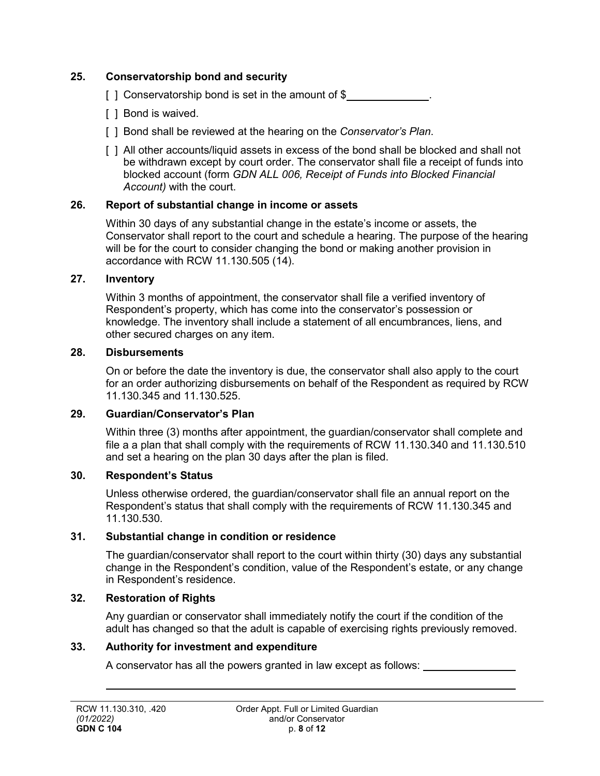### **25. Conservatorship bond and security**

- [ ] Conservatorship bond is set in the amount of  $$$
- [ ] Bond is waived.
- [ ] Bond shall be reviewed at the hearing on the *Conservator's Plan*.
- [ ] All other accounts/liquid assets in excess of the bond shall be blocked and shall not be withdrawn except by court order. The conservator shall file a receipt of funds into blocked account (form *GDN ALL 006, Receipt of Funds into Blocked Financial Account)* with the court.

### **26. Report of substantial change in income or assets**

Within 30 days of any substantial change in the estate's income or assets, the Conservator shall report to the court and schedule a hearing. The purpose of the hearing will be for the court to consider changing the bond or making another provision in accordance with RCW 11.130.505 (14).

### **27. Inventory**

Within 3 months of appointment, the conservator shall file a verified inventory of Respondent's property, which has come into the conservator's possession or knowledge. The inventory shall include a statement of all encumbrances, liens, and other secured charges on any item.

### **28. Disbursements**

On or before the date the inventory is due, the conservator shall also apply to the court for an order authorizing disbursements on behalf of the Respondent as required by RCW 11.130.345 and 11.130.525.

### **29. Guardian/Conservator's Plan**

Within three (3) months after appointment, the guardian/conservator shall complete and file a a plan that shall comply with the requirements of RCW 11.130.340 and 11.130.510 and set a hearing on the plan 30 days after the plan is filed.

### **30. Respondent's Status**

Unless otherwise ordered, the guardian/conservator shall file an annual report on the Respondent's status that shall comply with the requirements of RCW 11.130.345 and 11.130.530.

### **31. Substantial change in condition or residence**

The guardian/conservator shall report to the court within thirty (30) days any substantial change in the Respondent's condition, value of the Respondent's estate, or any change in Respondent's residence.

### **32. Restoration of Rights**

Any guardian or conservator shall immediately notify the court if the condition of the adult has changed so that the adult is capable of exercising rights previously removed.

### **33. Authority for investment and expenditure**

A conservator has all the powers granted in law except as follows: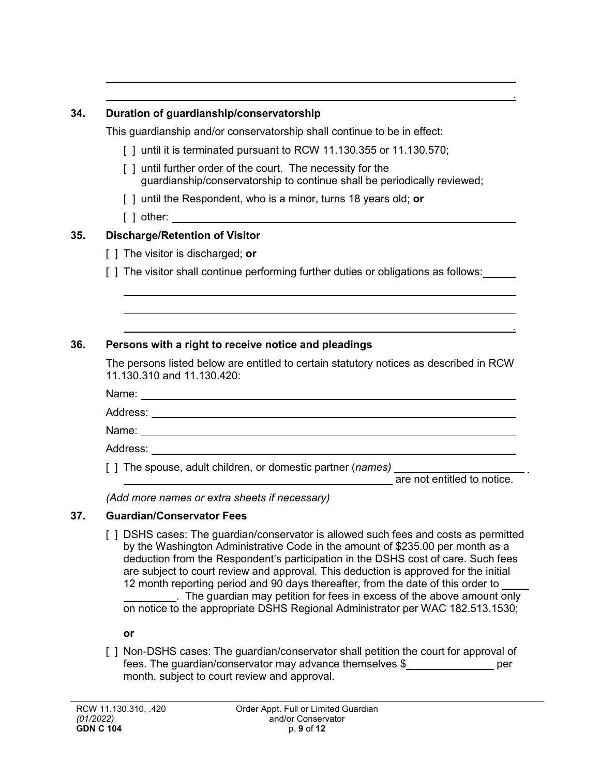### **34. Duration of guardianship/conservatorship**

This guardianship and/or conservatorship shall continue to be in effect:

- $\lceil$  1 until it is terminated pursuant to RCW 11.130.355 or 11.130.570;
- [ ] until further order of the court. The necessity for the guardianship/conservatorship to continue shall be periodically reviewed;
- [ ] until the Respondent, who is a minor, turns 18 years old; **or**
- [ ] other:

# **35. Discharge/Retention of Visitor**

- [ ] The visitor is discharged; **or**
- [ ] The visitor shall continue performing further duties or obligations as follows:

# **36. Persons with a right to receive notice and pleadings**

The persons listed below are entitled to certain statutory notices as described in RCW 11.130.310 and 11.130.420:

Name:

Address:

Name:

Address:

[ ] The spouse, adult children, or domestic partner (*names)*

are not entitled to notice.

.

.

*(Add more names or extra sheets if necessary)*

# **37. Guardian/Conservator Fees**

[ ] DSHS cases: The guardian/conservator is allowed such fees and costs as permitted by the Washington Administrative Code in the amount of \$235.00 per month as a deduction from the Respondent's participation in the DSHS cost of care. Such fees are subject to court review and approval. This deduction is approved for the initial 12 month reporting period and 90 days thereafter, from the date of this order to . The guardian may petition for fees in excess of the above amount only on notice to the appropriate DSHS Regional Administrator per WAC 182.513.1530;

**or**

[ ] Non-DSHS cases: The guardian/conservator shall petition the court for approval of fees. The quardian/conservator may advance themselves \$ per month, subject to court review and approval.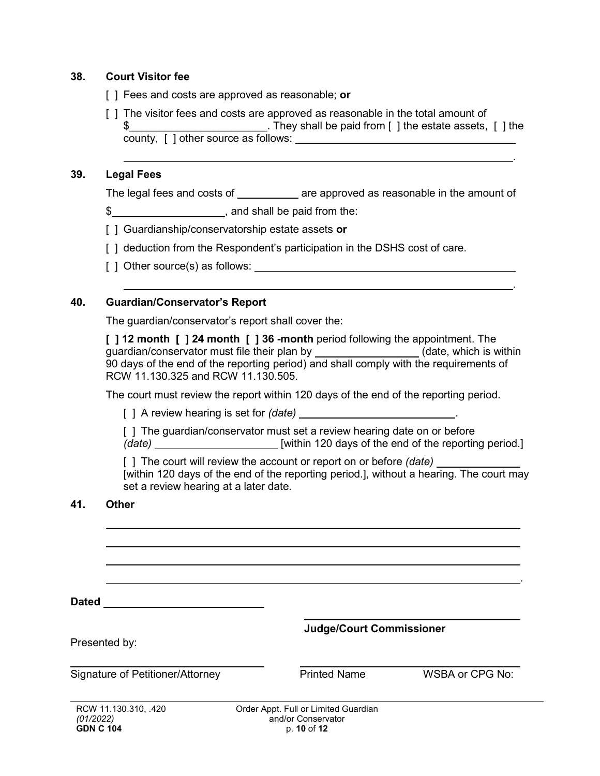### **38. Court Visitor fee**

- [ ] Fees and costs are approved as reasonable; **or**
- [ ] The visitor fees and costs are approved as reasonable in the total amount of \$\_\_\_\_\_\_\_\_\_\_\_\_\_\_\_\_\_\_\_\_\_\_\_\_\_\_\_. They shall be paid from [ ] the estate assets, [ ] the county, [ ] other source as follows:

#### **39. Legal Fees**

The legal fees and costs of \_\_\_\_\_\_\_\_\_\_\_ are approved as reasonable in the amount of

\$ , and shall be paid from the:

- [ ] Guardianship/conservatorship estate assets **or**
- [] deduction from the Respondent's participation in the DSHS cost of care.
- [ ] Other source(s) as follows:

### **40. Guardian/Conservator's Report**

The guardian/conservator's report shall cover the:

**[ ] 12 month [ ] 24 month [ ] 36 -month** period following the appointment. The guardian/conservator must file their plan by \_\_\_\_\_\_\_\_\_\_\_\_\_\_\_\_\_\_\_(date, which is within 90 days of the end of the reporting period) and shall comply with the requirements of RCW 11.130.325 and RCW 11.130.505.

The court must review the report within 120 days of the end of the reporting period.

[ ] A review hearing is set for *(date)* .

[] The guardian/conservator must set a review hearing date on or before *(date) (date) [within 120 days of the end of the reporting period.]* 

[ ] The court will review the account or report on or before *(date)*  [within 120 days of the end of the reporting period.], without a hearing. The court may set a review hearing at a later date.

### **41. Other**

**Dated** 

**Judge/Court Commissioner**

Presented by:

Signature of Petitioner/Attorney **Printed Name** WSBA or CPG No:

.

.

.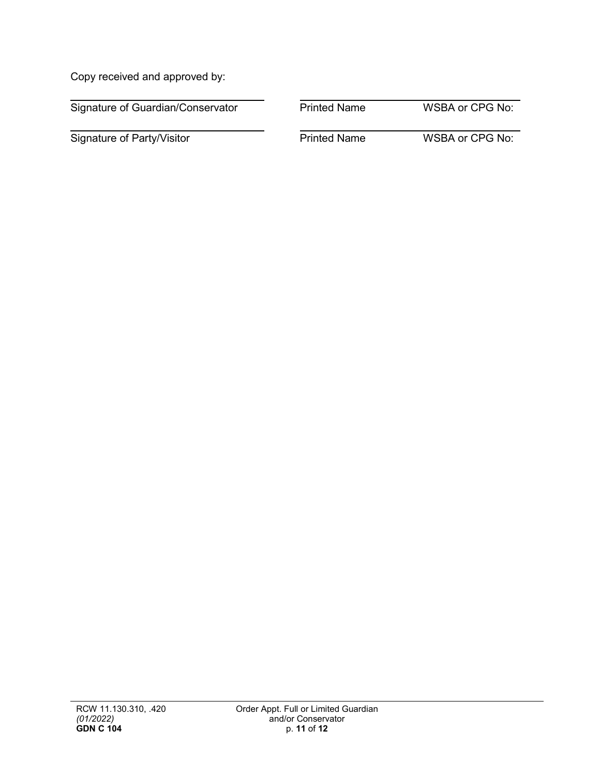Copy received and approved by:

| Signature of Guardian/Conservator | <b>Printed Name</b> | <b>WSBA or CPG No:</b> |
|-----------------------------------|---------------------|------------------------|
| Signature of Party/Visitor        | <b>Printed Name</b> | WSBA or CPG No:        |